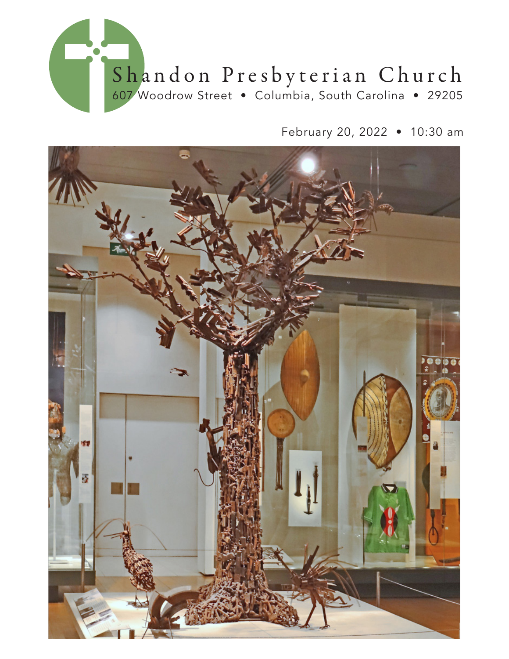

February 20, 2022 • 10:30 am

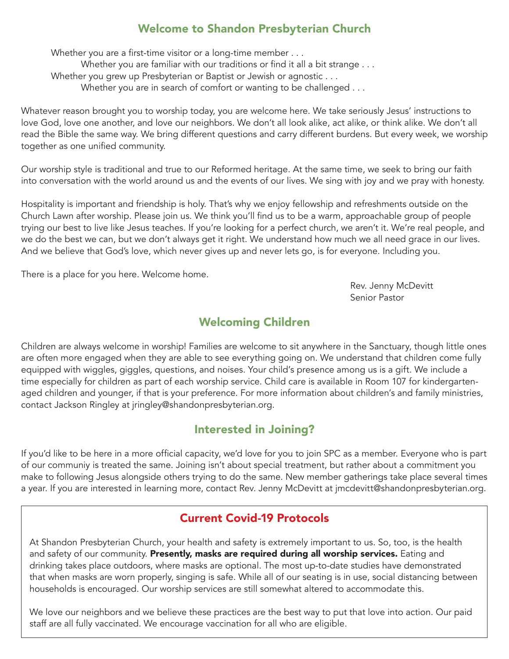## Welcome to Shandon Presbyterian Church

Whether you are a first-time visitor or a long-time member . . . Whether you are familiar with our traditions or find it all a bit strange . . . Whether you grew up Presbyterian or Baptist or Jewish or agnostic . . . Whether you are in search of comfort or wanting to be challenged . . .

Whatever reason brought you to worship today, you are welcome here. We take seriously Jesus' instructions to love God, love one another, and love our neighbors. We don't all look alike, act alike, or think alike. We don't all read the Bible the same way. We bring different questions and carry different burdens. But every week, we worship together as one unified community.

Our worship style is traditional and true to our Reformed heritage. At the same time, we seek to bring our faith into conversation with the world around us and the events of our lives. We sing with joy and we pray with honesty.

Hospitality is important and friendship is holy. That's why we enjoy fellowship and refreshments outside on the Church Lawn after worship. Please join us. We think you'll find us to be a warm, approachable group of people trying our best to live like Jesus teaches. If you're looking for a perfect church, we aren't it. We're real people, and we do the best we can, but we don't always get it right. We understand how much we all need grace in our lives. And we believe that God's love, which never gives up and never lets go, is for everyone. Including you.

There is a place for you here. Welcome home.

 Rev. Jenny McDevitt Senior Pastor

## Welcoming Children

Children are always welcome in worship! Families are welcome to sit anywhere in the Sanctuary, though little ones are often more engaged when they are able to see everything going on. We understand that children come fully equipped with wiggles, giggles, questions, and noises. Your child's presence among us is a gift. We include a time especially for children as part of each worship service. Child care is available in Room 107 for kindergartenaged children and younger, if that is your preference. For more information about children's and family ministries, contact Jackson Ringley at jringley@shandonpresbyterian.org.

### Interested in Joining?

If you'd like to be here in a more official capacity, we'd love for you to join SPC as a member. Everyone who is part of our communiy is treated the same. Joining isn't about special treatment, but rather about a commitment you make to following Jesus alongside others trying to do the same. New member gatherings take place several times a year. If you are interested in learning more, contact Rev. Jenny McDevitt at jmcdevitt@shandonpresbyterian.org.

## Current Covid-19 Protocols

At Shandon Presbyterian Church, your health and safety is extremely important to us. So, too, is the health and safety of our community. Presently, masks are required during all worship services. Eating and drinking takes place outdoors, where masks are optional. The most up-to-date studies have demonstrated that when masks are worn properly, singing is safe. While all of our seating is in use, social distancing between households is encouraged. Our worship services are still somewhat altered to accommodate this.

We love our neighbors and we believe these practices are the best way to put that love into action. Our paid staff are all fully vaccinated. We encourage vaccination for all who are eligible.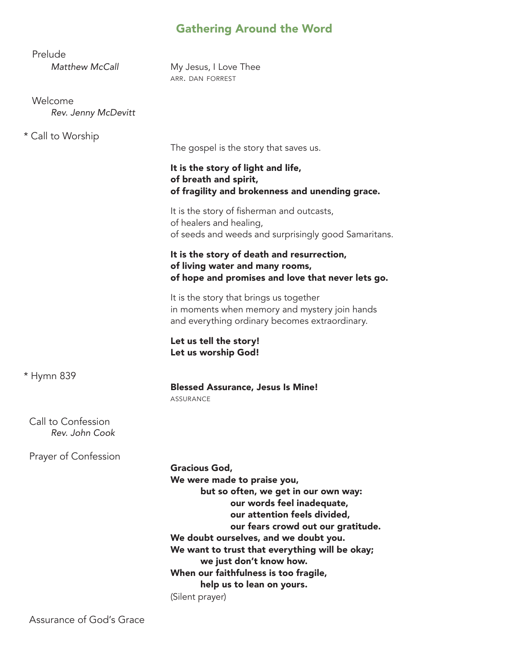# Gathering Around the Word

| My Jesus, I Love Thee<br>ARR. DAN FORREST                                                                                                                                                                                                                                                                                                                                                                      |
|----------------------------------------------------------------------------------------------------------------------------------------------------------------------------------------------------------------------------------------------------------------------------------------------------------------------------------------------------------------------------------------------------------------|
|                                                                                                                                                                                                                                                                                                                                                                                                                |
|                                                                                                                                                                                                                                                                                                                                                                                                                |
| The gospel is the story that saves us.                                                                                                                                                                                                                                                                                                                                                                         |
| It is the story of light and life,<br>of breath and spirit,<br>of fragility and brokenness and unending grace.                                                                                                                                                                                                                                                                                                 |
| It is the story of fisherman and outcasts,<br>of healers and healing,<br>of seeds and weeds and surprisingly good Samaritans.                                                                                                                                                                                                                                                                                  |
| It is the story of death and resurrection,<br>of living water and many rooms,<br>of hope and promises and love that never lets go.                                                                                                                                                                                                                                                                             |
| It is the story that brings us together<br>in moments when memory and mystery join hands<br>and everything ordinary becomes extraordinary.                                                                                                                                                                                                                                                                     |
| Let us tell the story!<br>Let us worship God!                                                                                                                                                                                                                                                                                                                                                                  |
| <b>Blessed Assurance, Jesus Is Mine!</b><br><b>ASSURANCE</b>                                                                                                                                                                                                                                                                                                                                                   |
|                                                                                                                                                                                                                                                                                                                                                                                                                |
| <b>Gracious God,</b><br>We were made to praise you,<br>but so often, we get in our own way:<br>our words feel inadequate,<br>our attention feels divided,<br>our fears crowd out our gratitude.<br>We doubt ourselves, and we doubt you.<br>We want to trust that everything will be okay;<br>we just don't know how.<br>When our faithfulness is too fragile,<br>help us to lean on yours.<br>(Silent prayer) |
|                                                                                                                                                                                                                                                                                                                                                                                                                |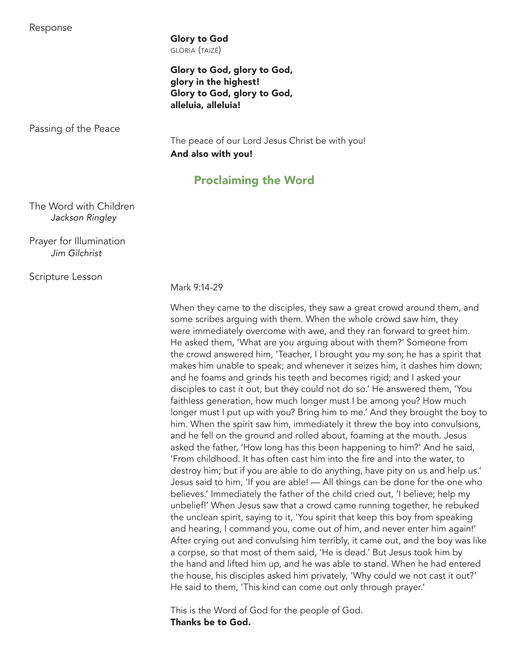Response

 Glory to God gloria (taizé)

 Glory to God, glory to God, glory in the highest! Glory to God, glory to God, alleluia, alleluia!

Passing of the Peace

 The peace of our Lord Jesus Christ be with you! And also with you!

## Proclaiming the Word

 The Word with Children *Jackson Ringley*

 Prayer for Illumination *Jim Gilchrist*

Scripture Lesson 

Mark 9:14-29

 When they came to the disciples, they saw a great crowd around them, and some scribes arguing with them. When the whole crowd saw him, they were immediately overcome with awe, and they ran forward to greet him. He asked them, 'What are you arguing about with them?' Someone from the crowd answered him, 'Teacher, I brought you my son; he has a spirit that makes him unable to speak; and whenever it seizes him, it dashes him down; and he foams and grinds his teeth and becomes rigid; and I asked your disciples to cast it out, but they could not do so.' He answered them, 'You faithless generation, how much longer must I be among you? How much longer must I put up with you? Bring him to me.' And they brought the boy to him. When the spirit saw him, immediately it threw the boy into convulsions, and he fell on the ground and rolled about, foaming at the mouth. Jesus asked the father, 'How long has this been happening to him?' And he said, 'From childhood. It has often cast him into the fire and into the water, to destroy him; but if you are able to do anything, have pity on us and help us.' Jesus said to him, 'If you are able! — All things can be done for the one who believes.' Immediately the father of the child cried out, 'I believe; help my unbelief!' When Jesus saw that a crowd came running together, he rebuked the unclean spirit, saying to it, 'You spirit that keep this boy from speaking and hearing, I command you, come out of him, and never enter him again!' After crying out and convulsing him terribly, it came out, and the boy was like a corpse, so that most of them said, 'He is dead.' But Jesus took him by the hand and lifted him up, and he was able to stand. When he had entered the house, his disciples asked him privately, 'Why could we not cast it out?' He said to them, 'This kind can come out only through prayer.'

 This is the Word of God for the people of God. Thanks be to God.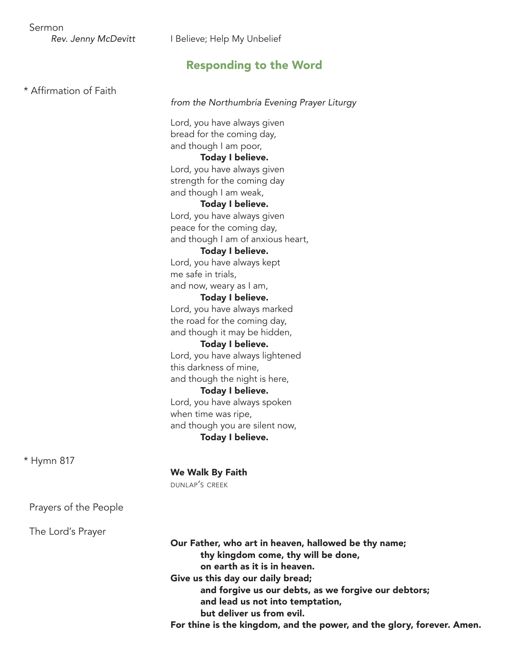# Responding to the Word

| * Affirmation of Faith |                                                                                                                                                                                                                                                                                                                                                                                                                                                                                                                                                                                                                                                                                                                |
|------------------------|----------------------------------------------------------------------------------------------------------------------------------------------------------------------------------------------------------------------------------------------------------------------------------------------------------------------------------------------------------------------------------------------------------------------------------------------------------------------------------------------------------------------------------------------------------------------------------------------------------------------------------------------------------------------------------------------------------------|
|                        | from the Northumbria Evening Prayer Liturgy                                                                                                                                                                                                                                                                                                                                                                                                                                                                                                                                                                                                                                                                    |
|                        | Lord, you have always given<br>bread for the coming day,<br>and though I am poor,<br>Today I believe.<br>Lord, you have always given<br>strength for the coming day<br>and though I am weak,<br>Today I believe.<br>Lord, you have always given<br>peace for the coming day,<br>and though I am of anxious heart,<br>Today I believe.<br>Lord, you have always kept<br>me safe in trials,<br>and now, weary as I am,<br>Today I believe.<br>Lord, you have always marked<br>the road for the coming day,<br>and though it may be hidden,<br>Today I believe.<br>Lord, you have always lightened<br>this darkness of mine,<br>and though the night is here,<br>Today I believe.<br>Lord, you have always spoken |
|                        |                                                                                                                                                                                                                                                                                                                                                                                                                                                                                                                                                                                                                                                                                                                |
|                        | when time was ripe,<br>and though you are silent now,<br>Today I believe.                                                                                                                                                                                                                                                                                                                                                                                                                                                                                                                                                                                                                                      |
| * Hymn 817             |                                                                                                                                                                                                                                                                                                                                                                                                                                                                                                                                                                                                                                                                                                                |
|                        | We Walk By Faith<br>DUNLAP'S CREEK                                                                                                                                                                                                                                                                                                                                                                                                                                                                                                                                                                                                                                                                             |
| Prayers of the People  |                                                                                                                                                                                                                                                                                                                                                                                                                                                                                                                                                                                                                                                                                                                |
| The Lord's Prayer      |                                                                                                                                                                                                                                                                                                                                                                                                                                                                                                                                                                                                                                                                                                                |
|                        | Our Father, who art in heaven, hallowed be thy name;<br>thy kingdom come, thy will be done,<br>on earth as it is in heaven.                                                                                                                                                                                                                                                                                                                                                                                                                                                                                                                                                                                    |
|                        | Give us this day our daily bread;<br>and forgive us our debts, as we forgive our debtors;<br>and lead us not into temptation,<br>but deliver us from evil.                                                                                                                                                                                                                                                                                                                                                                                                                                                                                                                                                     |
|                        | For thine is the kingdom, and the power, and the glory, forever. Amen.                                                                                                                                                                                                                                                                                                                                                                                                                                                                                                                                                                                                                                         |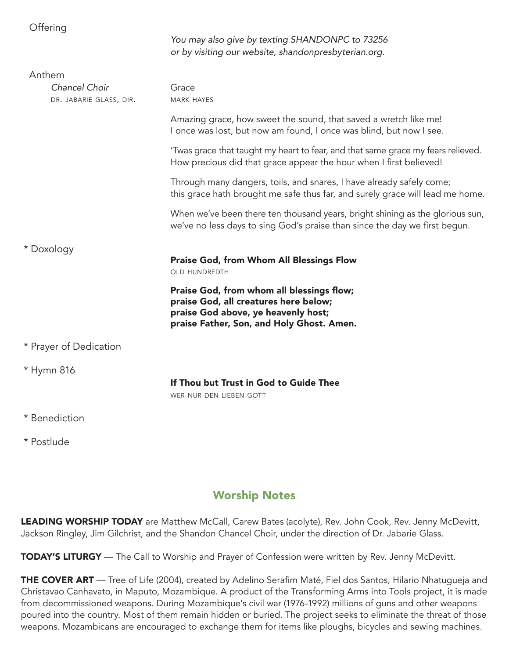| Offering                                           | You may also give by texting SHANDONPC to 73256<br>or by visiting our website, shandonpresbyterian.org.                                                                |
|----------------------------------------------------|------------------------------------------------------------------------------------------------------------------------------------------------------------------------|
| Anthem<br>Chancel Choir<br>DR. JABARIE GLASS, DIR. | Grace<br><b>MARK HAYES</b>                                                                                                                                             |
|                                                    | Amazing grace, how sweet the sound, that saved a wretch like me!<br>I once was lost, but now am found, I once was blind, but now I see.                                |
|                                                    | 'Twas grace that taught my heart to fear, and that same grace my fears relieved.<br>How precious did that grace appear the hour when I first believed!                 |
|                                                    | Through many dangers, toils, and snares, I have already safely come;<br>this grace hath brought me safe thus far, and surely grace will lead me home.                  |
|                                                    | When we've been there ten thousand years, bright shining as the glorious sun,<br>we've no less days to sing God's praise than since the day we first begun.            |
| * Doxology                                         | <b>Praise God, from Whom All Blessings Flow</b><br><b>OLD HUNDREDTH</b>                                                                                                |
|                                                    | Praise God, from whom all blessings flow;<br>praise God, all creatures here below;<br>praise God above, ye heavenly host;<br>praise Father, Son, and Holy Ghost. Amen. |
| * Prayer of Dedication                             |                                                                                                                                                                        |
| * Hymn 816                                         | If Thou but Trust in God to Guide Thee<br>WER NUR DEN LIEBEN GOTT                                                                                                      |
| * Benediction                                      |                                                                                                                                                                        |

\* Postlude

## Worship Notes

LEADING WORSHIP TODAY are Matthew McCall, Carew Bates (acolyte), Rev. John Cook, Rev. Jenny McDevitt, Jackson Ringley, Jim Gilchrist, and the Shandon Chancel Choir, under the direction of Dr. Jabarie Glass.

TODAY'S LITURGY - The Call to Worship and Prayer of Confession were written by Rev. Jenny McDevitt.

THE COVER ART — Tree of Life (2004), created by Adelino Serafim Maté, Fiel dos Santos, Hilario Nhatugueja and Christavao Canhavato, in Maputo, Mozambique. A product of the Transforming Arms into Tools project, it is made from decommissioned weapons. During Mozambique's civil war (1976-1992) millions of guns and other weapons poured into the country. Most of them remain hidden or buried. The project seeks to eliminate the threat of those weapons. Mozambicans are encouraged to exchange them for items like ploughs, bicycles and sewing machines.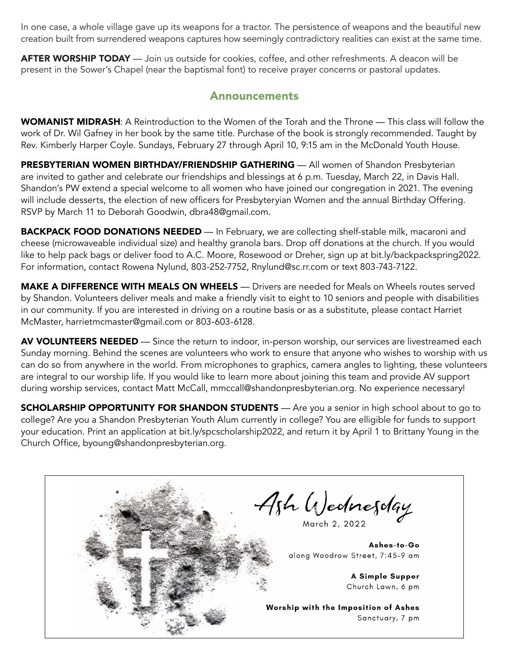In one case, a whole village gave up its weapons for a tractor. The persistence of weapons and the beautiful new creation built from surrendered weapons captures how seemingly contradictory realities can exist at the same time.

AFTER WORSHIP TODAY — Join us outside for cookies, coffee, and other refreshments. A deacon will be present in the Sower's Chapel (near the baptismal font) to receive prayer concerns or pastoral updates.

### Announcements

WOMANIST MIDRASH: A Reintroduction to the Women of the Torah and the Throne — This class will follow the work of Dr. Wil Gafney in her book by the same title. Purchase of the book is strongly recommended. Taught by Rev. Kimberly Harper Coyle. Sundays, February 27 through April 10, 9:15 am in the McDonald Youth House.

PRESBYTERIAN WOMEN BIRTHDAY/FRIENDSHIP GATHERING — All women of Shandon Presbyterian are invited to gather and celebrate our friendships and blessings at 6 p.m. Tuesday, March 22, in Davis Hall. Shandon's PW extend a special welcome to all women who have joined our congregation in 2021. The evening will include desserts, the election of new officers for Presbyteryian Women and the annual Birthday Offering. RSVP by March 11 to Deborah Goodwin, dbra48@gmail.com.

BACKPACK FOOD DONATIONS NEEDED — In February, we are collecting shelf-stable milk, macaroni and cheese (microwaveable individual size) and healthy granola bars. Drop off donations at the church. If you would like to help pack bags or deliver food to A.C. Moore, Rosewood or Dreher, sign up at bit.ly/backpackspring2022. For information, contact Rowena Nylund, 803-252-7752, Rnylund@sc.rr.com or text 803-743-7122.

MAKE A DIFFERENCE WITH MEALS ON WHEELS — Drivers are needed for Meals on Wheels routes served by Shandon. Volunteers deliver meals and make a friendly visit to eight to 10 seniors and people with disabilities in our community. If you are interested in driving on a routine basis or as a substitute, please contact Harriet McMaster, harrietmcmaster@gmail.com or 803-603-6128.

AV VOLUNTEERS NEEDED — Since the return to indoor, in-person worship, our services are livestreamed each Sunday morning. Behind the scenes are volunteers who work to ensure that anyone who wishes to worship with us can do so from anywhere in the world. From microphones to graphics, camera angles to lighting, these volunteers are integral to our worship life. If you would like to learn more about joining this team and provide AV support during worship services, contact Matt McCall, mmccall@shandonpresbyterian.org. No experience necessary!

**SCHOLARSHIP OPPORTUNITY FOR SHANDON STUDENTS** — Are you a senior in high school about to go to college? Are you a Shandon Presbyterian Youth Alum currently in college? You are elligible for funds to support your education. Print an application at bit.ly/spcscholarship2022, and return it by April 1 to Brittany Young in the Church Office, byoung@shandonpresbyterian.org.